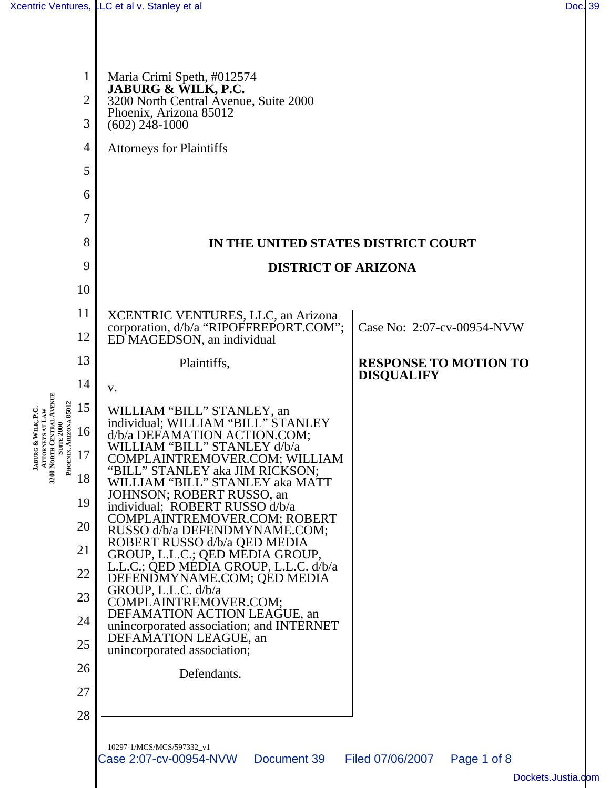**JABURG &**

**WILK, P.C. ATTORNEYS AT LAW**

| 1                                                                       | Maria Crimi Speth, #012574<br>JABURG & WILK, P.C.                            |                                                   |
|-------------------------------------------------------------------------|------------------------------------------------------------------------------|---------------------------------------------------|
| $\overline{2}$                                                          | 3200 North Central Avenue, Suite 2000<br>Phoenix, Arizona 85012              |                                                   |
| 3                                                                       | $(602)$ 248-1000                                                             |                                                   |
| 4                                                                       | <b>Attorneys for Plaintiffs</b>                                              |                                                   |
| 5                                                                       |                                                                              |                                                   |
| 6                                                                       |                                                                              |                                                   |
| 7                                                                       |                                                                              |                                                   |
| 8                                                                       | IN THE UNITED STATES DISTRICT COURT                                          |                                                   |
| 9                                                                       | <b>DISTRICT OF ARIZONA</b>                                                   |                                                   |
| 10                                                                      |                                                                              |                                                   |
| 11                                                                      | XCENTRIC VENTURES, LLC, an Arizona<br>corporation, d/b/a "RIPOFFREPORT.COM"; | Case No: 2:07-cv-00954-NVW                        |
| 12                                                                      | ED MAGEDSON, an individual                                                   |                                                   |
| 13                                                                      | Plaintiffs,                                                                  | <b>RESPONSE TO MOTION TO</b><br><b>DISQUALIFY</b> |
| 14                                                                      | V.                                                                           |                                                   |
| 15                                                                      | WILLIAM "BILL" STANLEY, an individual; WILLIAM "BILL" STANLEY                |                                                   |
| 16                                                                      | d/b/a DEFAMATION ACTION.COM;<br>WILLIAM "BILL" STANLEY d/b/a                 |                                                   |
| 3200 NORTH CENTRAL AVENUE<br>Suite 2000<br>PHOENIX. ARIZONA 85012<br>17 | COMPLAINTREMOVER.COM; WILLIAM<br>"BILL" STANLEY aka JIM RICKSON;             |                                                   |
| 18                                                                      | WILLIAM "BILL" STANLEY aka MATT<br>JOHNSON; ROBERT RUSSO, an                 |                                                   |
| 19                                                                      | individual; ROBERT RUSSO d/b/a<br>COMPLAINTREMOVER.COM; ROBERT               |                                                   |
| 20                                                                      | RUSSO d/b/a DEFENDMYNAME.COM;<br>ROBERT RUSSO d/b/a QED MEDIA                |                                                   |
| 21                                                                      | GROUP, L.L.C.; QED MEDIA GROUP,<br>L.L.C.; QED MEDIA GROUP, L.L.C. d/b/a     |                                                   |
| 22                                                                      | DEFENDMYNAME.COM; QED MEDIA<br>GROUP, L.L.C. d/b/a                           |                                                   |
| 23                                                                      | COMPLAINTREMOVER.COM;<br>DEFAMATION ACTION LEAGUE, an                        |                                                   |
| 24                                                                      | unincorporated association; and INTERNET<br>DEFAMATION LEAGUE, an            |                                                   |
| 25                                                                      | unincorporated association;                                                  |                                                   |
| 26                                                                      | Defendants.                                                                  |                                                   |
| 27                                                                      |                                                                              |                                                   |
| 28                                                                      |                                                                              |                                                   |
|                                                                         | 10297-1/MCS/MCS/597332_v1<br>Case 2:07-cv-00954-NVW<br>Document 39           | Filed 07/06/2007<br>Page 1 of 8                   |
|                                                                         |                                                                              | Dockets.Jus                                       |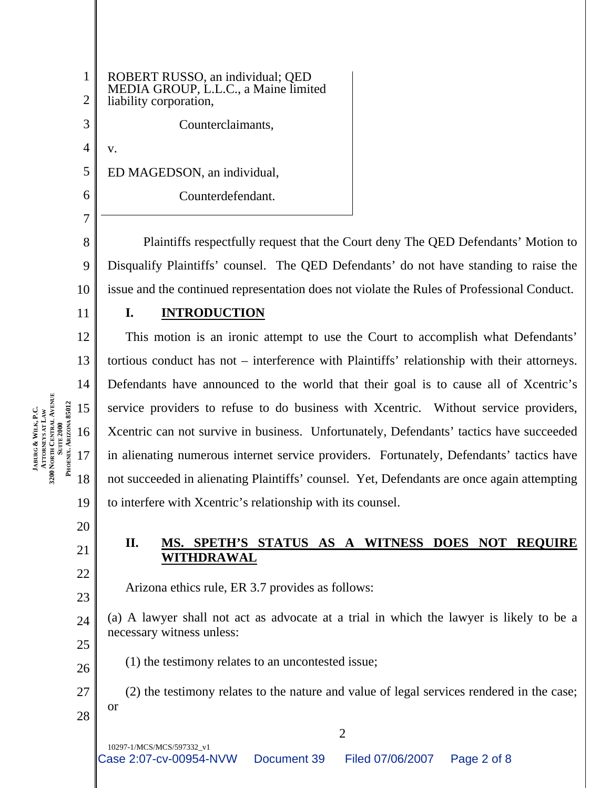3 4

5

6

7

1

2

ROBERT RUSSO, an individual; QED MEDIA GROUP, L.L.C., a Maine limited liability corporation, Counterclaimants, v. ED MAGEDSON, an individual, Counterdefendant.

8 9 10 Plaintiffs respectfully request that the Court deny The QED Defendants' Motion to Disqualify Plaintiffs' counsel. The QED Defendants' do not have standing to raise the issue and the continued representation does not violate the Rules of Professional Conduct.

11

 $12$ 

13

14

15

16

17

**JABURG &**

**3200**

**NORTH CENTRAL** 

**SUITE 2000 PHOENIX, ARIZONA 85012**

PHOENIX. ARIZONA 85012

**AVENUE**

**WILK, P.C. ATTORNEYS AT LAW**

18

#### **I. INTRODUCTION**

This motion is an ironic attempt to use the Court to accomplish what Defendants' tortious conduct has not – interference with Plaintiffs' relationship with their attorneys. Defendants have announced to the world that their goal is to cause all of Xcentric's service providers to refuse to do business with Xcentric. Without service providers, Xcentric can not survive in business. Unfortunately, Defendants' tactics have succeeded in alienating numerous internet service providers. Fortunately, Defendants' tactics have not succeeded in alienating Plaintiffs' counsel. Yet, Defendants are once again attempting to interfere with Xcentric's relationship with its counsel.

20

19

# 21

22

23

26

### **II. MS. SPETH'S STATUS AS A WITNESS DOES NOT REQUIRE WITHDRAWAL**

Arizona ethics rule, ER 3.7 provides as follows:

24 25 (a) A lawyer shall not act as advocate at a trial in which the lawyer is likely to be a necessary witness unless:

(1) the testimony relates to an uncontested issue;

27 28 (2) the testimony relates to the nature and value of legal services rendered in the case; or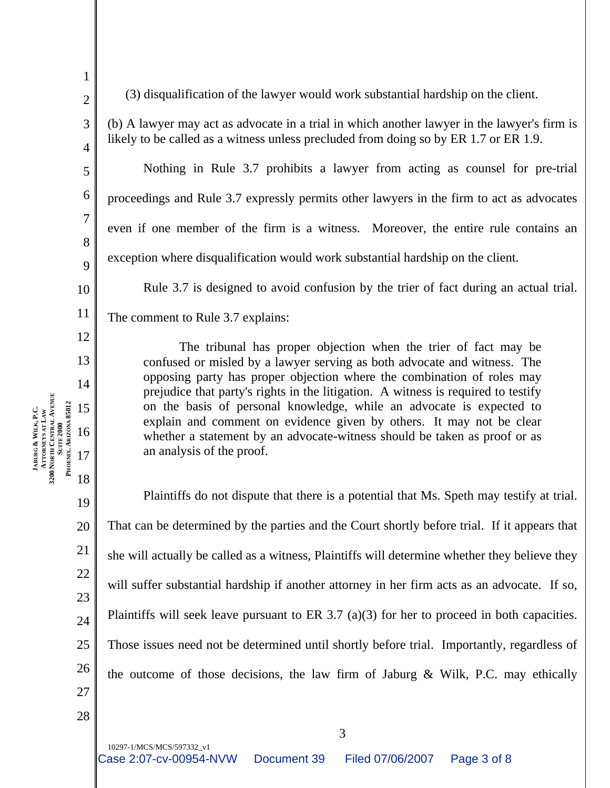2 3

4

5

6

7

8

9

10

11

12

13

14

15

16

17

**JABURG &**

**3200**

**NORTH CENTRAL** 

**SUITE 2000 PHOENIX, ARIZONA 85012**

PHOENIX. ARIZONA 85012

**AVENUE**

**WILK, P.C. ATTORNEYS AT LAW**

18

19

20

21

22

23

24

25

26

1

(3) disqualification of the lawyer would work substantial hardship on the client.

(b) A lawyer may act as advocate in a trial in which another lawyer in the lawyer's firm is likely to be called as a witness unless precluded from doing so by ER 1.7 or ER 1.9.

Nothing in Rule 3.7 prohibits a lawyer from acting as counsel for pre-trial proceedings and Rule 3.7 expressly permits other lawyers in the firm to act as advocates even if one member of the firm is a witness. Moreover, the entire rule contains an exception where disqualification would work substantial hardship on the client.

Rule 3.7 is designed to avoid confusion by the trier of fact during an actual trial.

The comment to Rule 3.7 explains:

The tribunal has proper objection when the trier of fact may be confused or misled by a lawyer serving as both advocate and witness. The opposing party has proper objection where the combination of roles may prejudice that party's rights in the litigation. A witness is required to testify on the basis of personal knowledge, while an advocate is expected to explain and comment on evidence given by others. It may not be clear whether a statement by an advocate-witness should be taken as proof or as an analysis of the proof.

Plaintiffs do not dispute that there is a potential that Ms. Speth may testify at trial. That can be determined by the parties and the Court shortly before trial. If it appears that she will actually be called as a witness, Plaintiffs will determine whether they believe they will suffer substantial hardship if another attorney in her firm acts as an advocate. If so, Plaintiffs will seek leave pursuant to ER 3.7 (a)(3) for her to proceed in both capacities. Those issues need not be determined until shortly before trial. Importantly, regardless of the outcome of those decisions, the law firm of Jaburg & Wilk, P.C. may ethically

3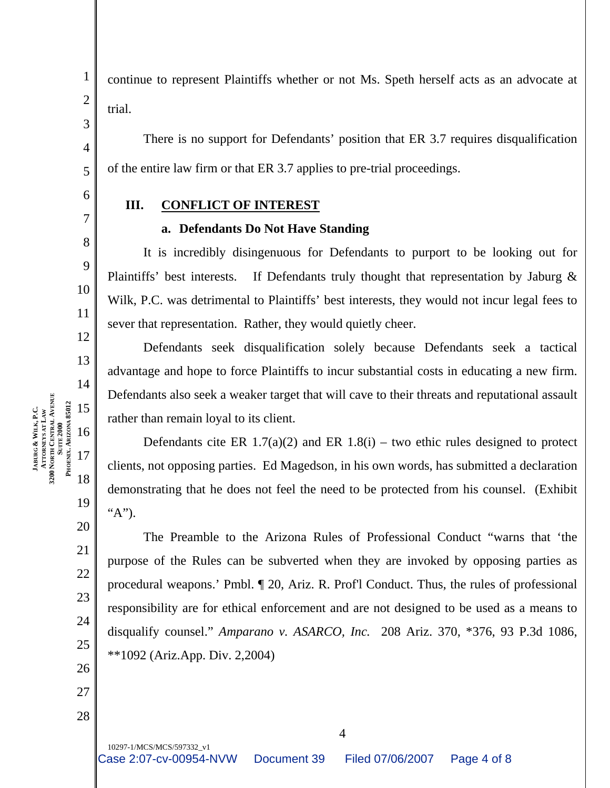8

9

10

11

12

13

14

19

20

21

22

23

24

25

26

27

28

1

trial.

There is no support for Defendants' position that ER 3.7 requires disqualification of the entire law firm or that ER 3.7 applies to pre-trial proceedings.

continue to represent Plaintiffs whether or not Ms. Speth herself acts as an advocate at

## **III. CONFLICT OF INTEREST**

#### **a. Defendants Do Not Have Standing**

It is incredibly disingenuous for Defendants to purport to be looking out for Plaintiffs' best interests. If Defendants truly thought that representation by Jaburg & Wilk, P.C. was detrimental to Plaintiffs' best interests, they would not incur legal fees to sever that representation. Rather, they would quietly cheer.

Defendants seek disqualification solely because Defendants seek a tactical advantage and hope to force Plaintiffs to incur substantial costs in educating a new firm. Defendants also seek a weaker target that will cave to their threats and reputational assault rather than remain loyal to its client.

Defendants cite ER  $1.7(a)(2)$  and ER  $1.8(i)$  – two ethic rules designed to protect clients, not opposing parties. Ed Magedson, in his own words, has submitted a declaration demonstrating that he does not feel the need to be protected from his counsel. (Exhibit "A").

The Preamble to the Arizona Rules of Professional Conduct "warns that 'the purpose of the Rules can be subverted when they are invoked by opposing parties as procedural weapons.' Pmbl. ¶ 20, Ariz. R. Prof'l Conduct. Thus, the rules of professional responsibility are for ethical enforcement and are not designed to be used as a means to disqualify counsel." *Amparano v. ASARCO, Inc.* 208 Ariz. 370, \*376, 93 P.3d 1086, \*\*1092 (Ariz.App. Div. 2,2004)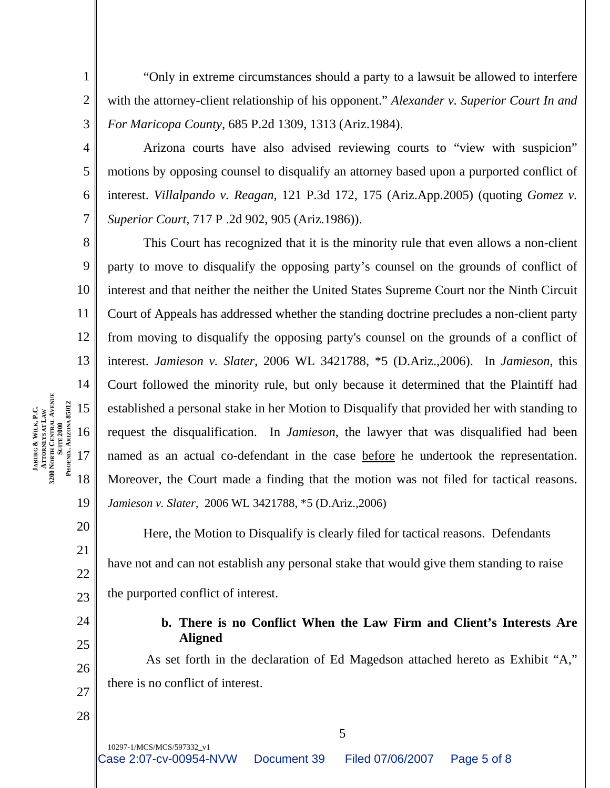"Only in extreme circumstances should a party to a lawsuit be allowed to interfere with the attorney-client relationship of his opponent." *Alexander v. Superior Court In and For Maricopa County,* 685 P.2d 1309, 1313 (Ariz.1984).

4 6 Arizona courts have also advised reviewing courts to "view with suspicion" motions by opposing counsel to disqualify an attorney based upon a purported conflict of interest. *Villalpando v. Reagan,* 121 P.3d 172, 175 (Ariz.App.2005) (quoting *Gomez v. Superior Court,* 717 P .2d 902, 905 (Ariz.1986)).

8 9 10 11 12 13 14 19 This Court has recognized that it is the minority rule that even allows a non-client party to move to disqualify the opposing party's counsel on the grounds of conflict of interest and that neither the neither the United States Supreme Court nor the Ninth Circuit Court of Appeals has addressed whether the standing doctrine precludes a non-client party from moving to disqualify the opposing party's counsel on the grounds of a conflict of interest. *Jamieson v. Slater,* 2006 WL 3421788, \*5 (D.Ariz.,2006). In *Jamieson*, this Court followed the minority rule, but only because it determined that the Plaintiff had established a personal stake in her Motion to Disqualify that provided her with standing to request the disqualification. In *Jamieson,* the lawyer that was disqualified had been named as an actual co-defendant in the case before he undertook the representation. Moreover, the Court made a finding that the motion was not filed for tactical reasons. *Jamieson v. Slater,* 2006 WL 3421788, \*5 (D.Ariz.,2006)

Here, the Motion to Disqualify is clearly filed for tactical reasons. Defendants have not and can not establish any personal stake that would give them standing to raise the purported conflict of interest.

> **b. There is no Conflict When the Law Firm and Client's Interests Are Aligned**

As set forth in the declaration of Ed Magedson attached hereto as Exhibit "A," there is no conflict of interest.

5

28

20

21

22

23

24

25

26

27

1

2

3

5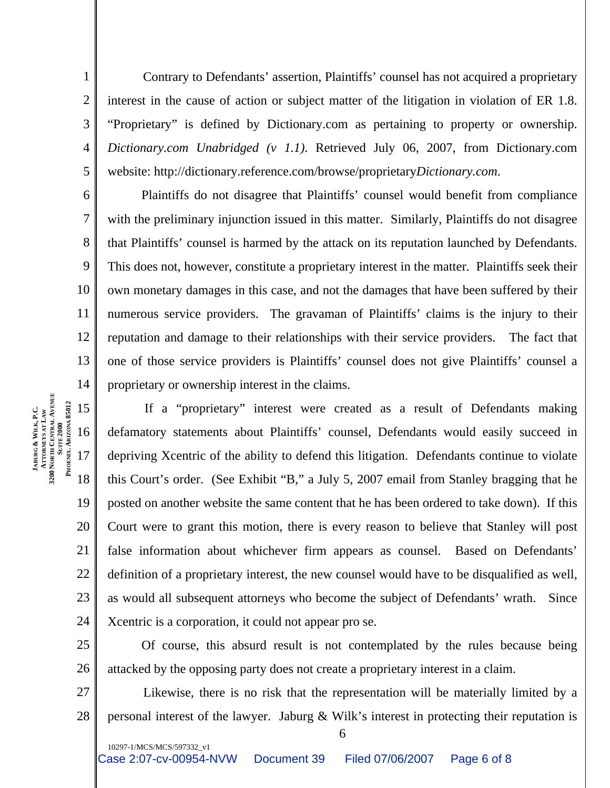Contrary to Defendants' assertion, Plaintiffs' counsel has not acquired a proprietary interest in the cause of action or subject matter of the litigation in violation of ER 1.8. "Proprietary" is defined by Dictionary.com as pertaining to property or ownership. *Dictionary.com Unabridged (v 1.1)*. Retrieved July 06, 2007, from Dictionary.com website: http://dictionary.reference.com/browse/proprietary*Dictionary.com*.

1

2

3

4

5

15

17

**JABURG &**

**3200**

**NORTH CENTRAL** 

**SUITE 2000 PHOENIX, ARIZONA 85012**

PHOENIX. ARIZONA 85012

**AVENUE**

**WILK, P.C. ATTORNEYS AT LAW**

18

10297-1/MCS/MCS/597332\_v1

6 7 8 9 10 11 12 13 14 Plaintiffs do not disagree that Plaintiffs' counsel would benefit from compliance with the preliminary injunction issued in this matter. Similarly, Plaintiffs do not disagree that Plaintiffs' counsel is harmed by the attack on its reputation launched by Defendants. This does not, however, constitute a proprietary interest in the matter. Plaintiffs seek their own monetary damages in this case, and not the damages that have been suffered by their numerous service providers. The gravaman of Plaintiffs' claims is the injury to their reputation and damage to their relationships with their service providers. The fact that one of those service providers is Plaintiffs' counsel does not give Plaintiffs' counsel a proprietary or ownership interest in the claims.

16 19 20 21 22 23 24 If a "proprietary" interest were created as a result of Defendants making defamatory statements about Plaintiffs' counsel, Defendants would easily succeed in depriving Xcentric of the ability to defend this litigation. Defendants continue to violate this Court's order. (See Exhibit "B," a July 5, 2007 email from Stanley bragging that he posted on another website the same content that he has been ordered to take down). If this Court were to grant this motion, there is every reason to believe that Stanley will post false information about whichever firm appears as counsel. Based on Defendants' definition of a proprietary interest, the new counsel would have to be disqualified as well, as would all subsequent attorneys who become the subject of Defendants' wrath. Since Xcentric is a corporation, it could not appear pro se.

25 26 Of course, this absurd result is not contemplated by the rules because being attacked by the opposing party does not create a proprietary interest in a claim.

27 28 Likewise, there is no risk that the representation will be materially limited by a personal interest of the lawyer. Jaburg & Wilk's interest in protecting their reputation is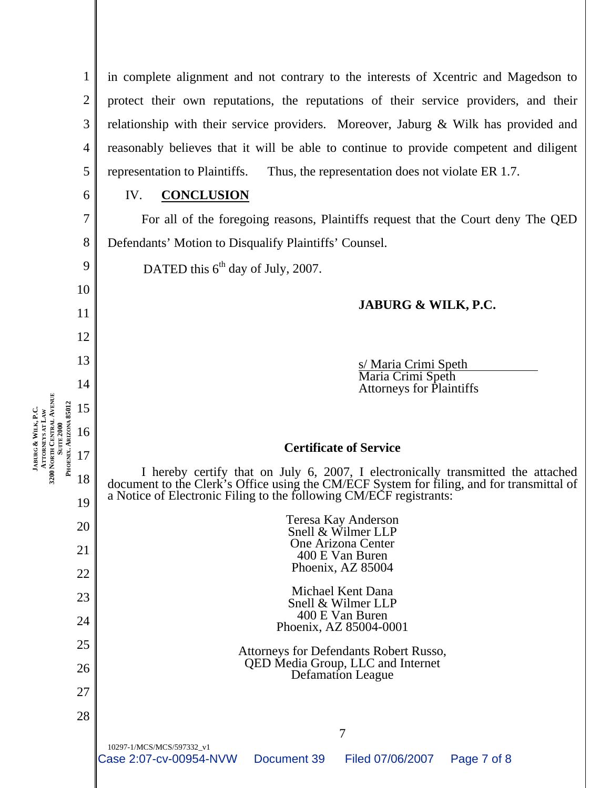| 1 in complete alignment and not contrary to the interests of Xcentric and Magedson to              |
|----------------------------------------------------------------------------------------------------|
| $2 \parallel$ protect their own reputations, the reputations of their service providers, and their |
| 3   relationship with their service providers. Moreover, Jaburg & Wilk has provided and            |
| 4 reasonably believes that it will be able to continue to provide competent and diligent           |
| $5 \parallel$ representation to Plaintiffs. Thus, the representation does not violate ER 1.7.      |

6

7

8

9

10

11

12

13

14

15

16

17

**JABURG &**

**3200**

**NORTH CENTRAL** 

**SUITE 2000 PHOENIX, ARIZONA 85012**

**AVENUE**

**WILK, P.C. ATTORNEYS AT LAW**

18

#### IV. **CONCLUSION**

For all of the foregoing reasons, Plaintiffs request that the Court deny The QED Defendants' Motion to Disqualify Plaintiffs' Counsel.

DATED this 6<sup>th</sup> day of July, 2007.

#### **JABURG & WILK, P.C.**

<u>s/ Maria Crimi Speth</u><br>Maria Crimi Speth Attorneys for Plaintiffs

#### **Certificate of Service**

I hereby certify that on July 6, 2007, I electronically transmitted the attached document to the Clerk's Office using the CM/ECF System for filing, and for transmittal of a Notice of Electronic Filing to the following CM/ECF registrants:

| 19 | a Notice of Electronic Filing to the following CM/ECF registrants:                                    |  |  |
|----|-------------------------------------------------------------------------------------------------------|--|--|
| 20 | Teresa Kay Anderson<br>Snell & Wilmer LLP                                                             |  |  |
| 21 | One Arizona Center<br>400 E Van Buren                                                                 |  |  |
| 22 | Phoenix, AZ 85004                                                                                     |  |  |
| 23 | Michael Kent Dana<br>Snell & Wilmer LLP                                                               |  |  |
| 24 | 400 E Van Buren<br>Phoenix, AZ 85004-0001                                                             |  |  |
| 25 | Attorneys for Defendants Robert Russo,                                                                |  |  |
| 26 | QED Media Group, LLC and Internet<br><b>Defamation League</b>                                         |  |  |
| 27 |                                                                                                       |  |  |
| 28 |                                                                                                       |  |  |
|    | 7                                                                                                     |  |  |
|    | 10297-1/MCS/MCS/597332_v1<br>Case 2:07-cv-00954-NVW<br>Filed 07/06/2007<br>Document 39<br>Page 7 of 8 |  |  |